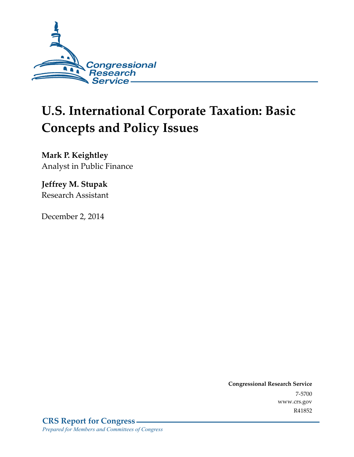

# **U.S. International Corporate Taxation: Basic Concepts and Policy Issues**

**Mark P. Keightley**  Analyst in Public Finance

**Jeffrey M. Stupak**  Research Assistant

December 2, 2014

**Congressional Research Service**  7-5700 www.crs.gov R41852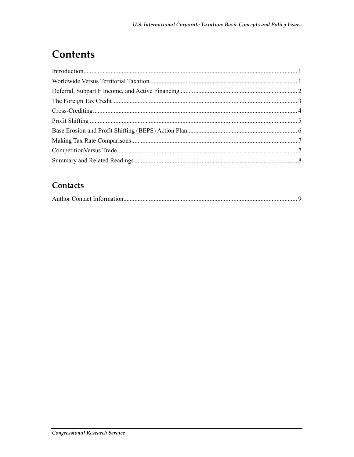# Contents

#### Contacts

|--|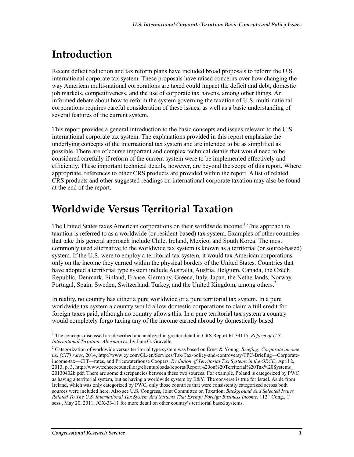# **Introduction**

Recent deficit reduction and tax reform plans have included broad proposals to reform the U.S. international corporate tax system. These proposals have raised concerns over how changing the way American multi-national corporations are taxed could impact the deficit and debt, domestic job markets, competitiveness, and the use of corporate tax havens, among other things. An informed debate about how to reform the system governing the taxation of U.S. multi-national corporations requires careful consideration of these issues, as well as a basic understanding of several features of the current system.

This report provides a general introduction to the basic concepts and issues relevant to the U.S. international corporate tax system. The explanations provided in this report emphasize the underlying concepts of the international tax system and are intended to be as simplified as possible. There are of course important and complex technical details that would need to be considered carefully if reform of the current system were to be implemented effectively and efficiently. These important technical details, however, are beyond the scope of this report. Where appropriate, references to other CRS products are provided within the report. A list of related CRS products and other suggested readings on international corporate taxation may also be found at the end of the report.

#### **Worldwide Versus Territorial Taxation**

The United States taxes American corporations on their worldwide income.<sup>1</sup> This approach to taxation is referred to as a worldwide (or resident-based) tax system. Examples of other countries that take this general approach include Chile, Ireland, Mexico, and South Korea. The most commonly used alternative to the worldwide tax system is known as a territorial (or source-based) system. If the U.S. were to employ a territorial tax system, it would tax American corporations only on the income they earned within the physical borders of the United States. Countries that have adopted a territorial type system include Australia, Austria, Belgium, Canada, the Czech Republic, Denmark, Finland, France, Germany, Greece, Italy, Japan, the Netherlands, Norway, Portugal, Spain, Sweden, Switzerland, Turkey, and the United Kingdom, among others.<sup>2</sup>

In reality, no country has either a pure worldwide or a pure territorial tax system. In a pure worldwide tax system a country would allow domestic corporations to claim a full credit for foreign taxes paid, although no country allows this. In a pure territorial tax system a country would completely forgo taxing any of the income earned abroad by domestically based

<sup>&</sup>lt;sup>1</sup> The concepts discussed are described and analyzed in greater detail in CRS Report RL34115, *Reform of U.S. International Taxation: Alternatives*, by Jane G. Gravelle.

<sup>2</sup> Categorization of worldwide versus territorial type system was based on Ernst & Young*, Briefing: Corporate income tax (CIT) rates*, 2014, http://www.ey.com/GL/en/Services/Tax/Tax-policy-and-controversy/TPC-Briefing—Corporateincome-tax—CIT—rates, and Pricewaterhouse Coopers, *Evolution of Territorial Tax Systems in the OECD*, April 2, 2013, p. 3, http://www.techceocouncil.org/clientuploads/reports/Report%20on%20Territorial%20Tax%20Systems\_ 20130402b.pdf. There are some discrepancies between these two sources. For example, Poland is categorized by PWC as having a territorial system, but as having a worldwide system by  $E\&Y$ . The converse is true for Israel. Aside from Ireland, which was only categorized by PWC, only those countries that were consistently categorized across both sources were included here. Also see U.S. Congress, Joint Committee on Taxation, *Background And Selected Issues Related To The U.S. International Tax System And Systems That Exempt Foreign Business Income,* 112<sup>th</sup> Cong., 1<sup>st</sup> sess., May 20, 2011, JCX-33-11 for more detail on other country's territorial based systems.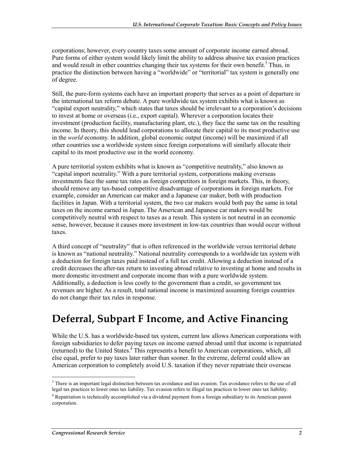corporations; however, every country taxes some amount of corporate income earned abroad. Pure forms of either system would likely limit the ability to address abusive tax evasion practices and would result in other countries changing their tax systems for their own benefit.<sup>3</sup> Thus, in practice the distinction between having a "worldwide" or "territorial" tax system is generally one of degree.

Still, the pure-form systems each have an important property that serves as a point of departure in the international tax reform debate. A pure worldwide tax system exhibits what is known as "capital export neutrality," which states that taxes should be irrelevant to a corporation's decisions to invest at home or overseas (i.e., export capital). Wherever a corporation locates their investment (production facility, manufacturing plant, etc.), they face the same tax on the resulting income. In theory, this should lead corporations to allocate their capital to its most productive use in the *world* economy. In addition, global economic output (income) will be maximized if all other countries use a worldwide system since foreign corporations will similarly allocate their capital to its most productive use in the world economy.

A pure territorial system exhibits what is known as "competitive neutrality," also known as "capital import neutrality." With a pure territorial system, corporations making overseas investments face the same tax rates as foreign competitors in foreign markets. This, in theory, should remove any tax-based competitive disadvantage of corporations in foreign markets. For example, consider an American car maker and a Japanese car maker, both with production facilities in Japan. With a territorial system, the two car makers would both pay the same in total taxes on the income earned in Japan. The American and Japanese car makers would be competitively neutral with respect to taxes as a result. This system is not neutral in an economic sense, however, because it causes more investment in low-tax countries than would occur without taxes.

A third concept of "neutrality" that is often referenced in the worldwide versus territorial debate is known as "national neutrality." National neutrality corresponds to a worldwide tax system with a deduction for foreign taxes paid instead of a full tax credit. Allowing a deduction instead of a credit decreases the after-tax return to investing abroad relative to investing at home and results in more domestic investment and corporate income than with a pure worldwide system. Additionally, a deduction is less costly to the government than a credit, so government tax revenues are higher. As a result, total national income is maximized assuming foreign countries do not change their tax rules in response.

## **Deferral, Subpart F Income, and Active Financing**

While the U.S. has a worldwide-based tax system, current law allows American corporations with foreign subsidiaries to defer paying taxes on income earned abroad until that income is repatriated (returned) to the United States.<sup>4</sup> This represents a benefit to American corporations, which, all else equal, prefer to pay taxes later rather than sooner. In the extreme, deferral could allow an American corporation to completely avoid U.S. taxation if they never repatriate their overseas

<sup>1</sup> <sup>3</sup> There is an important legal distinction between tax avoidance and tax evasion. Tax avoidance refers to the use of all legal tax practices to lower ones tax liability. Tax evasion refers to illegal tax practices to lower ones tax liability.

<sup>&</sup>lt;sup>4</sup> Repatriation is technically accomplished via a dividend payment from a foreign subsidiary to its American parent corporation.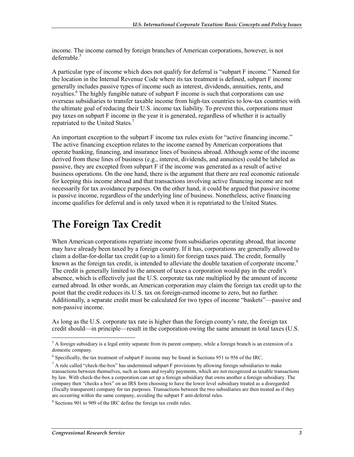income. The income earned by foreign branches of American corporations, however, is not deferrable. $5$ 

A particular type of income which does not qualify for deferral is "subpart F income." Named for the location in the Internal Revenue Code where its tax treatment is defined, subpart F income generally includes passive types of income such as interest, dividends, annuities, rents, and royalties.<sup>6</sup> The highly fungible nature of subpart F income is such that corporations can use overseas subsidiaries to transfer taxable income from high-tax countries to low-tax countries with the ultimate goal of reducing their U.S. income tax liability. To prevent this, corporations must pay taxes on subpart F income in the year it is generated, regardless of whether it is actually repatriated to the United States.<sup>7</sup>

An important exception to the subpart F income tax rules exists for "active financing income." The active financing exception relates to the income earned by American corporations that operate banking, financing, and insurance lines of business abroad. Although some of the income derived from these lines of business (e.g., interest, dividends, and annuities) could be labeled as passive, they are excepted from subpart F if the income was generated as a result of active business operations. On the one hand, there is the argument that there are real economic rationale for keeping this income abroad and that transactions involving active financing income are not necessarily for tax avoidance purposes. On the other hand, it could be argued that passive income is passive income, regardless of the underlying line of business. Nonetheless, active financing income qualifies for deferral and is only taxed when it is repatriated to the United States.

## **The Foreign Tax Credit**

When American corporations repatriate income from subsidiaries operating abroad, that income may have already been taxed by a foreign country. If it has, corporations are generally allowed to claim a dollar-for-dollar tax credit (up to a limit) for foreign taxes paid. The credit, formally known as the foreign tax credit, is intended to alleviate the double taxation of corporate income.<sup>8</sup> The credit is generally limited to the amount of taxes a corporation would pay in the credit's absence, which is effectively just the U.S. corporate tax rate multiplied by the amount of income earned abroad. In other words, an American corporation may claim the foreign tax credit up to the point that the credit reduces its U.S. tax on foreign-earned income to zero, but no further. Additionally, a separate credit must be calculated for two types of income "baskets"—passive and non-passive income.

As long as the U.S. corporate tax rate is higher than the foreign county's rate, the foreign tax credit should—in principle—result in the corporation owing the same amount in total taxes (U.S.

 $<sup>5</sup>$  A foreign subsidiary is a legal entity separate from its parent company, while a foreign branch is an extension of a</sup> domestic company.

<sup>&</sup>lt;sup>6</sup> Specifically, the tax treatment of subpart F income may be found in Sections 951 to 956 of the IRC.

 $^7$  A rule called "check-the-box" has undermined subpart F provisions by allowing foreign subsidiaries to make transactions between themselves, such as loans and royalty payments, which are not recognized as taxable transactions by law. With check-the-box a corporation can set up a foreign subsidiary that owns another a foreign subsidiary. The company then "checks a box" on an IRS form choosing to have the lower level subsidiary treated as a disregarded (fiscally transparent) company for tax purposes. Transactions between the two subsidiaries are then treated as if they are occurring within the same company, avoiding the subpart F anti-deferral rules.

<sup>&</sup>lt;sup>8</sup> Sections 901 to 909 of the IRC define the foreign tax credit rules.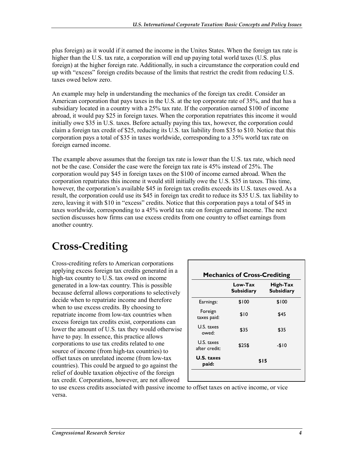plus foreign) as it would if it earned the income in the Unites States. When the foreign tax rate is higher than the U.S. tax rate, a corporation will end up paying total world taxes (U.S. plus foreign) at the higher foreign rate. Additionally, in such a circumstance the corporation could end up with "excess" foreign credits because of the limits that restrict the credit from reducing U.S. taxes owed below zero.

An example may help in understanding the mechanics of the foreign tax credit. Consider an American corporation that pays taxes in the U.S. at the top corporate rate of 35%, and that has a subsidiary located in a country with a 25% tax rate. If the corporation earned \$100 of income abroad, it would pay \$25 in foreign taxes. When the corporation repatriates this income it would initially owe \$35 in U.S. taxes. Before actually paying this tax, however, the corporation could claim a foreign tax credit of \$25, reducing its U.S. tax liability from \$35 to \$10. Notice that this corporation pays a total of \$35 in taxes worldwide, corresponding to a 35% world tax rate on foreign earned income.

The example above assumes that the foreign tax rate is lower than the U.S. tax rate, which need not be the case. Consider the case were the foreign tax rate is 45% instead of 25%. The corporation would pay \$45 in foreign taxes on the \$100 of income earned abroad. When the corporation repatriates this income it would still initially owe the U.S. \$35 in taxes. This time, however, the corporation's available \$45 in foreign tax credits exceeds its U.S. taxes owed. As a result, the corporation could use its \$45 in foreign tax credit to reduce its \$35 U.S. tax liability to zero, leaving it with \$10 in "excess" credits. Notice that this corporation pays a total of \$45 in taxes worldwide, corresponding to a 45% world tax rate on foreign earned income. The next section discusses how firms can use excess credits from one country to offset earnings from another country.

# **Cross-Crediting**

Cross-crediting refers to American corporations applying excess foreign tax credits generated in a high-tax country to U.S. tax owed on income generated in a low-tax country. This is possible because deferral allows corporations to selectively decide when to repatriate income and therefore when to use excess credits. By choosing to repatriate income from low-tax countries when excess foreign tax credits exist, corporations can lower the amount of U.S. tax they would otherwise have to pay. In essence, this practice allows corporations to use tax credits related to one source of income (from high-tax countries) to offset taxes on unrelated income (from low-tax countries). This could be argued to go against the relief of double taxation objective of the foreign tax credit. Corporations, however, are not allowed

|                             | Low-Tax<br><b>Subsidiary</b> | High-Tax<br><b>Subsidiary</b> |
|-----------------------------|------------------------------|-------------------------------|
| Earnings:                   | \$100                        | \$100                         |
| Foreign<br>taxes paid:      | \$10                         | \$45                          |
| U.S. taxes<br>owed:         | \$35                         | \$35                          |
| U.S. taxes<br>after credit: | \$25\$                       | -\$10                         |
| U.S. taxes<br>paid:         | \$15                         |                               |

to use excess credits associated with passive income to offset taxes on active income, or vice versa.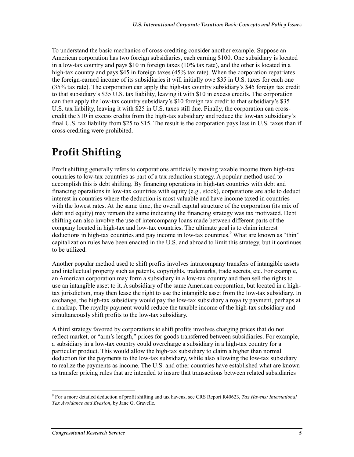To understand the basic mechanics of cross-crediting consider another example. Suppose an American corporation has two foreign subsidiaries, each earning \$100. One subsidiary is located in a low-tax country and pays \$10 in foreign taxes (10% tax rate), and the other is located in a high-tax country and pays \$45 in foreign taxes (45% tax rate). When the corporation repatriates the foreign-earned income of its subsidiaries it will initially owe \$35 in U.S. taxes for each one (35% tax rate). The corporation can apply the high-tax country subsidiary's \$45 foreign tax credit to that subsidiary's \$35 U.S. tax liability, leaving it with \$10 in excess credits. The corporation can then apply the low-tax country subsidiary's \$10 foreign tax credit to that subsidiary's \$35 U.S. tax liability, leaving it with \$25 in U.S. taxes still due. Finally, the corporation can crosscredit the \$10 in excess credits from the high-tax subsidiary and reduce the low-tax subsidiary's final U.S. tax liability from \$25 to \$15. The result is the corporation pays less in U.S. taxes than if cross-crediting were prohibited.

# **Profit Shifting**

Profit shifting generally refers to corporations artificially moving taxable income from high-tax countries to low-tax countries as part of a tax reduction strategy. A popular method used to accomplish this is debt shifting. By financing operations in high-tax countries with debt and financing operations in low-tax countries with equity (e.g., stock), corporations are able to deduct interest in countries where the deduction is most valuable and have income taxed in countries with the lowest rates. At the same time, the overall capital structure of the corporation (its mix of debt and equity) may remain the same indicating the financing strategy was tax motivated. Debt shifting can also involve the use of intercompany loans made between different parts of the company located in high-tax and low-tax countries. The ultimate goal is to claim interest deductions in high-tax countries and pay income in low-tax countries.<sup>9</sup> What are known as "thin" capitalization rules have been enacted in the U.S. and abroad to limit this strategy, but it continues to be utilized.

Another popular method used to shift profits involves intracompany transfers of intangible assets and intellectual property such as patents, copyrights, trademarks, trade secrets, etc. For example, an American corporation may form a subsidiary in a low-tax country and then sell the rights to use an intangible asset to it. A subsidiary of the same American corporation, but located in a hightax jurisdiction, may then lease the right to use the intangible asset from the low-tax subsidiary. In exchange, the high-tax subsidiary would pay the low-tax subsidiary a royalty payment, perhaps at a markup. The royalty payment would reduce the taxable income of the high-tax subsidiary and simultaneously shift profits to the low-tax subsidiary.

A third strategy favored by corporations to shift profits involves charging prices that do not reflect market, or "arm's length," prices for goods transferred between subsidiaries. For example, a subsidiary in a low-tax country could overcharge a subsidiary in a high-tax country for a particular product. This would allow the high-tax subsidiary to claim a higher than normal deduction for the payments to the low-tax subsidiary, while also allowing the low-tax subsidiary to realize the payments as income. The U.S. and other countries have established what are known as transfer pricing rules that are intended to insure that transactions between related subsidiaries

 9 For a more detailed deduction of profit shifting and tax havens, see CRS Report R40623, *Tax Havens: International Tax Avoidance and Evasion*, by Jane G. Gravelle.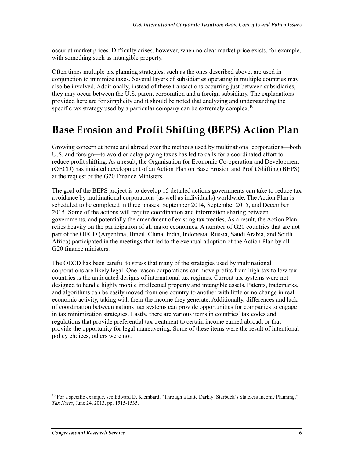occur at market prices. Difficulty arises, however, when no clear market price exists, for example, with something such as intangible property.

Often times multiple tax planning strategies, such as the ones described above, are used in conjunction to minimize taxes. Several layers of subsidiaries operating in multiple countries may also be involved. Additionally, instead of these transactions occurring just between subsidiaries, they may occur between the U.S. parent corporation and a foreign subsidiary. The explanations provided here are for simplicity and it should be noted that analyzing and understanding the specific tax strategy used by a particular company can be extremely complex.<sup>10</sup>

#### **Base Erosion and Profit Shifting (BEPS) Action Plan**

Growing concern at home and abroad over the methods used by multinational corporations—both U.S. and foreign—to avoid or delay paying taxes has led to calls for a coordinated effort to reduce profit shifting. As a result, the Organisation for Economic Co-operation and Development (OECD) has initiated development of an Action Plan on Base Erosion and Profit Shifting (BEPS) at the request of the G20 Finance Ministers.

The goal of the BEPS project is to develop 15 detailed actions governments can take to reduce tax avoidance by multinational corporations (as well as individuals) worldwide. The Action Plan is scheduled to be completed in three phases: September 2014, September 2015, and December 2015. Some of the actions will require coordination and information sharing between governments, and potentially the amendment of existing tax treaties. As a result, the Action Plan relies heavily on the participation of all major economies. A number of G20 countries that are not part of the OECD (Argentina, Brazil, China, India, Indonesia, Russia, Saudi Arabia, and South Africa) participated in the meetings that led to the eventual adoption of the Action Plan by all G20 finance ministers.

The OECD has been careful to stress that many of the strategies used by multinational corporations are likely legal. One reason corporations can move profits from high-tax to low-tax countries is the antiquated designs of international tax regimes. Current tax systems were not designed to handle highly mobile intellectual property and intangible assets. Patents, trademarks, and algorithms can be easily moved from one country to another with little or no change in real economic activity, taking with them the income they generate. Additionally, differences and lack of coordination between nations' tax systems can provide opportunities for companies to engage in tax minimization strategies. Lastly, there are various items in countries' tax codes and regulations that provide preferential tax treatment to certain income earned abroad, or that provide the opportunity for legal maneuvering. Some of these items were the result of intentional policy choices, others were not.

 $10$  For a specific example, see Edward D. Kleinbard, "Through a Latte Darkly: Starbuck's Stateless Income Planning," *Tax Notes*, June 24, 2013, pp. 1515-1535.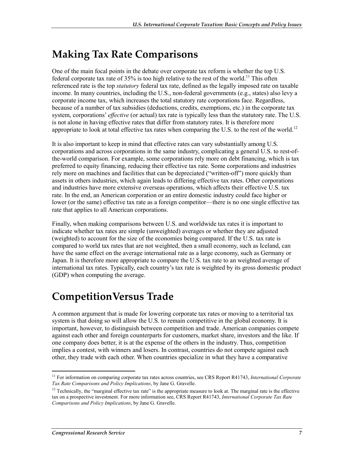# **Making Tax Rate Comparisons**

One of the main focal points in the debate over corporate tax reform is whether the top U.S. federal corporate tax rate of  $35\%$  is too high relative to the rest of the world.<sup>11</sup> This often referenced rate is the top *statutory* federal tax rate, defined as the legally imposed rate on taxable income. In many countries, including the U.S., non-federal governments (e.g., states) also levy a corporate income tax, which increases the total statutory rate corporations face. Regardless, because of a number of tax subsidies (deductions, credits, exemptions, etc.) in the corporate tax system, corporations' *effective* (or actual) tax rate is typically less than the statutory rate. The U.S. is not alone in having effective rates that differ from statutory rates. It is therefore more appropriate to look at total effective tax rates when comparing the U.S. to the rest of the world.<sup>12</sup>

It is also important to keep in mind that effective rates can vary substantially among U.S. corporations and across corporations in the same industry, complicating a general U.S. to rest-ofthe-world comparison. For example, some corporations rely more on debt financing, which is tax preferred to equity financing, reducing their effective tax rate. Some corporations and industries rely more on machines and facilities that can be depreciated ("written-off") more quickly than assets in others industries, which again leads to differing effective tax rates. Other corporations and industries have more extensive overseas operations, which affects their effective U.S. tax rate. In the end, an American corporation or an entire domestic industry could face higher or lower (or the same) effective tax rate as a foreign competitor—there is no one single effective tax rate that applies to all American corporations.

Finally, when making comparisons between U.S. and worldwide tax rates it is important to indicate whether tax rates are simple (unweighted) averages or whether they are adjusted (weighted) to account for the size of the economies being compared. If the U.S. tax rate is compared to world tax rates that are not weighted, then a small economy, such as Iceland, can have the same effect on the average international rate as a large economy, such as Germany or Japan. It is therefore more appropriate to compare the U.S. tax rate to an weighted average of international tax rates. Typically, each country's tax rate is weighted by its gross domestic product (GDP) when computing the average.

## **CompetitionVersus Trade**

A common argument that is made for lowering corporate tax rates or moving to a territorial tax system is that doing so will allow the U.S. to remain competitive in the global economy. It is important, however, to distinguish between competition and trade. American companies compete against each other and foreign counterparts for customers, market share, investors and the like. If one company does better, it is at the expense of the others in the industry. Thus, competition implies a contest, with winners and losers. In contrast, countries do not compete against each other, they trade with each other. When countries specialize in what they have a comparative

<sup>1</sup> <sup>11</sup> For information on comparing corporate tax rates across countries, see CRS Report R41743, *International Corporate Tax Rate Comparisons and Policy Implications*, by Jane G. Gravelle.

<sup>&</sup>lt;sup>12</sup> Technically, the "marginal effective tax rate" is the appropriate measure to look at. The marginal rate is the effective tax on a prospective investment. For more information see, CRS Report R41743, *International Corporate Tax Rate Comparisons and Policy Implications*, by Jane G. Gravelle.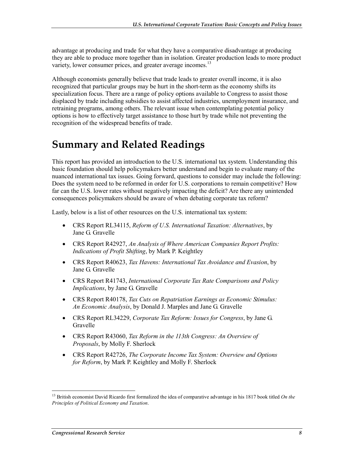advantage at producing and trade for what they have a comparative disadvantage at producing they are able to produce more together than in isolation. Greater production leads to more product variety, lower consumer prices, and greater average incomes.<sup>13</sup>

Although economists generally believe that trade leads to greater overall income, it is also recognized that particular groups may be hurt in the short-term as the economy shifts its specialization focus. There are a range of policy options available to Congress to assist those displaced by trade including subsidies to assist affected industries, unemployment insurance, and retraining programs, among others. The relevant issue when contemplating potential policy options is how to effectively target assistance to those hurt by trade while not preventing the recognition of the widespread benefits of trade.

#### **Summary and Related Readings**

This report has provided an introduction to the U.S. international tax system. Understanding this basic foundation should help policymakers better understand and begin to evaluate many of the nuanced international tax issues. Going forward, questions to consider may include the following: Does the system need to be reformed in order for U.S. corporations to remain competitive? How far can the U.S. lower rates without negatively impacting the deficit? Are there any unintended consequences policymakers should be aware of when debating corporate tax reform?

Lastly, below is a list of other resources on the U.S. international tax system:

- CRS Report RL34115, *Reform of U.S. International Taxation: Alternatives*, by Jane G. Gravelle
- CRS Report R42927, *An Analysis of Where American Companies Report Profits: Indications of Profit Shifting*, by Mark P. Keightley
- CRS Report R40623, *Tax Havens: International Tax Avoidance and Evasion*, by Jane G. Gravelle
- CRS Report R41743, *International Corporate Tax Rate Comparisons and Policy Implications*, by Jane G. Gravelle
- CRS Report R40178, *Tax Cuts on Repatriation Earnings as Economic Stimulus: An Economic Analysis*, by Donald J. Marples and Jane G. Gravelle
- CRS Report RL34229, *Corporate Tax Reform: Issues for Congress*, by Jane G. Gravelle
- CRS Report R43060, *Tax Reform in the 113th Congress: An Overview of Proposals*, by Molly F. Sherlock
- CRS Report R42726, *The Corporate Income Tax System: Overview and Options for Reform*, by Mark P. Keightley and Molly F. Sherlock

<sup>13</sup> British economist David Ricardo first formalized the idea of comparative advantage in his 1817 book titled *On the Principles of Political Economy and Taxation*.